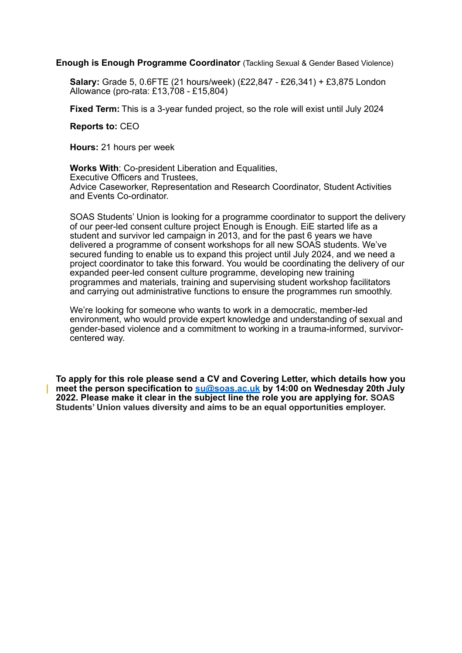**Enough is Enough Programme Coordinator** (Tackling Sexual & Gender Based Violence)

**Salary:** Grade 5, 0.6FTE (21 hours/week) (£22,847 - £26,341) + £3,875 London Allowance (pro-rata: £13,708 - £15,804)

**Fixed Term:** This is a 3-year funded project, so the role will exist until July 2024

**Reports to:** CEO

**Hours:** 21 hours per week

**Works With**: Co-president Liberation and Equalities, Executive Officers and Trustees, Advice Caseworker, Representation and Research Coordinator, Student Activities and Events Co-ordinator.

SOAS Students' Union is looking for a programme coordinator to support the delivery of our peer-led consent culture project Enough is Enough. EiE started life as a student and survivor led campaign in 2013, and for the past 6 years we have delivered a programme of consent workshops for all new SOAS students. We've secured funding to enable us to expand this project until July 2024, and we need a project coordinator to take this forward. You would be coordinating the delivery of our expanded peer-led consent culture programme, developing new training programmes and materials, training and supervising student workshop facilitators and carrying out administrative functions to ensure the programmes run smoothly.

We're looking for someone who wants to work in a democratic, member-led environment, who would provide expert knowledge and understanding of sexual and gender-based violence and a commitment to working in a trauma-informed, survivorcentered way.

**To apply for this role please send a CV and Covering Letter, which details how you meet the person specification to [su@soas.ac.uk](mailto:su@soas.ac.uk) by 14:00 on Wednesday 20th July 2022. Please make it clear in the subject line the role you are applying for. SOAS Students' Union values diversity and aims to be an equal opportunities employer.**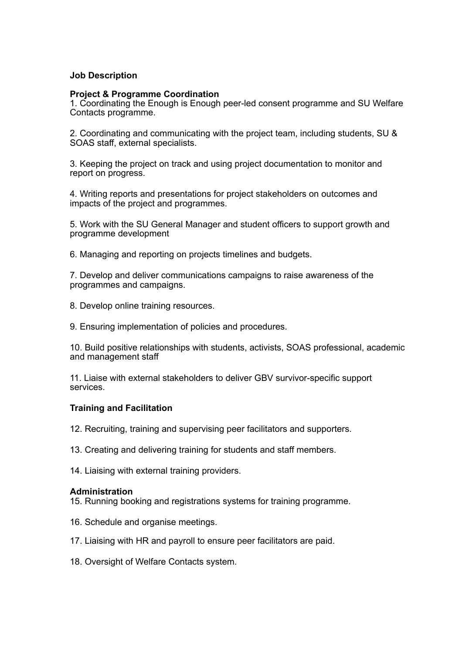### **Job Description**

#### **Project & Programme Coordination**

1. Coordinating the Enough is Enough peer-led consent programme and SU Welfare Contacts programme.

2. Coordinating and communicating with the project team, including students, SU & SOAS staff, external specialists.

3. Keeping the project on track and using project documentation to monitor and report on progress.

4. Writing reports and presentations for project stakeholders on outcomes and impacts of the project and programmes.

5. Work with the SU General Manager and student officers to support growth and programme development

6. Managing and reporting on projects timelines and budgets.

7. Develop and deliver communications campaigns to raise awareness of the programmes and campaigns.

8. Develop online training resources.

9. Ensuring implementation of policies and procedures.

10. Build positive relationships with students, activists, SOAS professional, academic and management staff

11. Liaise with external stakeholders to deliver GBV survivor-specific support services.

#### **Training and Facilitation**

12. Recruiting, training and supervising peer facilitators and supporters.

13. Creating and delivering training for students and staff members.

14. Liaising with external training providers.

#### **Administration**

15. Running booking and registrations systems for training programme.

- 16. Schedule and organise meetings.
- 17. Liaising with HR and payroll to ensure peer facilitators are paid.
- 18. Oversight of Welfare Contacts system.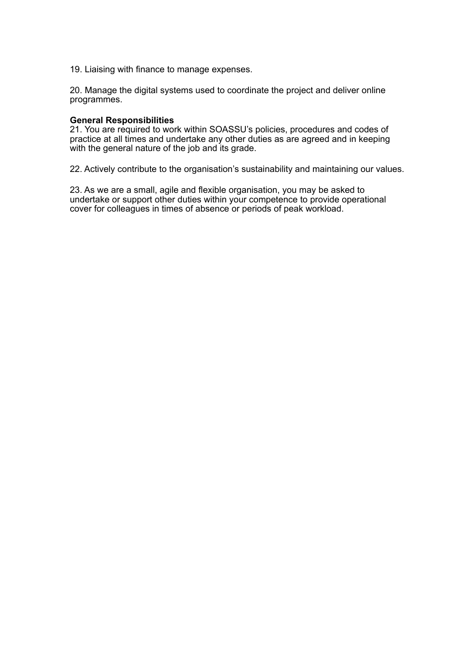19. Liaising with finance to manage expenses.

20. Manage the digital systems used to coordinate the project and deliver online programmes.

#### **General Responsibilities**

21. You are required to work within SOASSU's policies, procedures and codes of practice at all times and undertake any other duties as are agreed and in keeping with the general nature of the job and its grade.

22. Actively contribute to the organisation's sustainability and maintaining our values.

23. As we are a small, agile and flexible organisation, you may be asked to undertake or support other duties within your competence to provide operational cover for colleagues in times of absence or periods of peak workload.